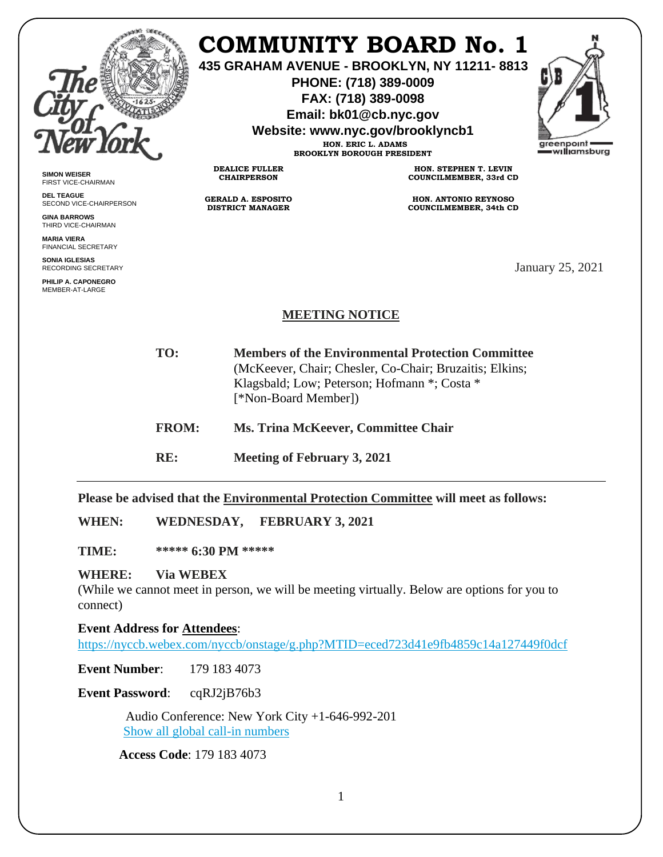

# **COMMUNITY BOARD No. 1**

**435 GRAHAM AVENUE - BROOKLYN, NY 11211- 8813**

**PHONE: (718) 389-0009 FAX: (718) 389-0098**

**Email: bk01@cb.nyc.gov**

**Website: www.nyc.gov/brooklyncb1**

**HON. ERIC L. ADAMS BROOKLYN BOROUGH PRESIDENT**



**SIMON WEISER** FIRST VICE-CHAIRMAN

**DEL TEAGUE** SECOND VICE-CHAIRPERSON

**GINA BARROWS** THIRD VICE-CHAIRMAN

**MARIA VIERA** FINANCIAL SECRETARY

**SONIA IGLESIAS** RECORDING SECRETARY

**PHILIP A. CAPONEGRO** MEMBER-AT-LARGE

**HON. STEPHEN T. LEVIN COUNCILMEMBER, 33rd CD**

**HON. ANTONIO REYNOSO COUNCILMEMBER, 34th CD**

January 25, 2021

### **MEETING NOTICE**

- **TO: Members of the Environmental Protection Committee** (McKeever, Chair; Chesler, Co-Chair; Bruzaitis; Elkins; Klagsbald; Low; Peterson; Hofmann \*; Costa \* [\*Non-Board Member])
- **FROM: Ms. Trina McKeever, Committee Chair**
- **RE: Meeting of February 3, 2021**

**DEALICE FULLER CHAIRPERSON**

**GERALD A. ESPOSITO DISTRICT MANAGER**

**Please be advised that the Environmental Protection Committee will meet as follows:**

**WHEN: WEDNESDAY, FEBRUARY 3, 2021**

**TIME: \*\*\*\*\* 6:30 PM \*\*\*\*\***

### **WHERE: Via WEBEX**

(While we cannot meet in person, we will be meeting virtually. Below are options for you to connect)

**Event Address for Attendees**:

<https://nyccb.webex.com/nyccb/onstage/g.php?MTID=eced723d41e9fb4859c14a127449f0dcf>

**Event Number:** 179 183 4073

**Event Password**: cqRJ2jB76b3

 Audio Conference: New York City +1-646-992-201 [Show all global call-in numbers](https://nyccb.webex.com/cmp3300/webcomponents/widget/globalcallin/globalcallin.do?siteurl=nyccb&serviceType=EC&eventID=1101180212&tollFree=0)

**Access Code**: 179 183 4073